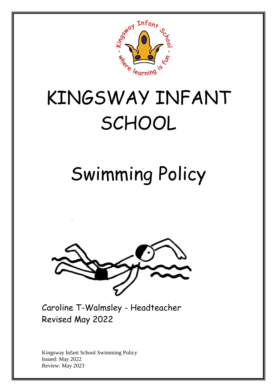

# KINGSWAY INFANT SCHOOL

# Swimming Policy



Caroline T-Walmsley - Headteacher Revised May 2022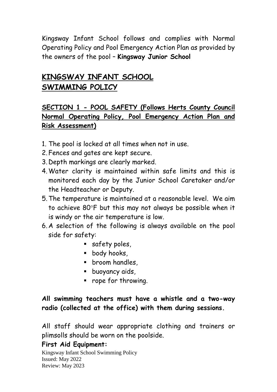Kingsway Infant School follows and complies with Normal Operating Policy and Pool Emergency Action Plan as provided by the owners of the pool – **Kingsway Junior School**

## **KINGSWAY INFANT SCHOOL SWIMMING POLICY**

## **SECTION 1 - POOL SAFETY (Follows Herts County Council Normal Operating Policy, Pool Emergency Action Plan and Risk Assessment)**

- 1. The pool is locked at all times when not in use.
- 2. Fences and gates are kept secure.
- 3. Depth markings are clearly marked.
- 4.Water clarity is maintained within safe limits and this is monitored each day by the Junior School Caretaker and/or the Headteacher or Deputy.
- 5.The temperature is maintained at a reasonable level. We aim to achieve 80°F but this may not always be possible when it is windy or the air temperature is low.
- 6. A selection of the following is always available on the pool side for safety:
	- safety poles,
	- **body hooks**,
	- **F** broom handles,
	- **buoyancy aids,**
	- **•** rope for throwing.

#### **All swimming teachers must have a whistle and a two-way radio (collected at the office) with them during sessions.**

All staff should wear appropriate clothing and trainers or plimsolls should be worn on the poolside.

#### **First Aid Equipment:**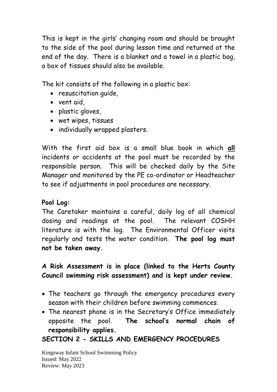This is kept in the girls' changing room and should be brought to the side of the pool during lesson time and returned at the end of the day. There is a blanket and a towel in a plastic bag, a box of tissues should also be available.

The kit consists of the following in a plastic box:

- resuscitation guide,
- vent aid,
- plastic gloves,
- wet wipes, tissues
- individually wrapped plasters.

With the first aid box is a small blue book in which **all**  incidents or accidents at the pool must be recorded by the responsible person. This will be checked daily by the Site Manager and monitored by the PE co-ordinator or Headteacher to see if adjustments in pool procedures are necessary.

#### **Pool Log:**

The Caretaker maintains a careful, daily log of all chemical dosing and readings at the pool. The relevant COSHH literature is with the log. The Environmental Officer visits regularly and tests the water condition. **The pool log must not be taken away.**

### **A Risk Assessment is in place (linked to the Herts County Council swimming risk assessment) and is kept under review.**

- The teachers go through the emergency procedures every season with their children before swimming commences.
- The nearest phone is in the Secretary's Office immediately opposite the pool. **The school's normal chain of responsibility applies.**

### **SECTION 2 - SKILLS AND EMERGENCY PROCEDURES**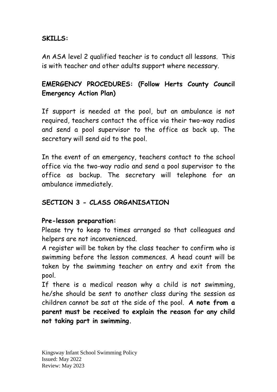#### **SKILLS:**

An ASA level 2 qualified teacher is to conduct all lessons. This is with teacher and other adults support where necessary.

## **EMERGENCY PROCEDURES: (Follow Herts County Council Emergency Action Plan)**

If support is needed at the pool, but an ambulance is not required, teachers contact the office via their two-way radios and send a pool supervisor to the office as back up. The secretary will send aid to the pool.

In the event of an emergency, teachers contact to the school office via the two-way radio and send a pool supervisor to the office as backup. The secretary will telephone for an ambulance immediately.

#### **SECTION 3 - CLASS ORGANISATION**

#### **Pre-lesson preparation:**

Please try to keep to times arranged so that colleagues and helpers are not inconvenienced.

A register will be taken by the class teacher to confirm who is swimming before the lesson commences. A head count will be taken by the swimming teacher on entry and exit from the pool.

If there is a medical reason why a child is not swimming, he/she should be sent to another class during the session as children cannot be sat at the side of the pool. **A note from a parent must be received to explain the reason for any child not taking part in swimming.**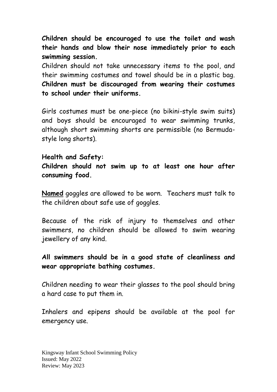**Children should be encouraged to use the toilet and wash their hands and blow their nose immediately prior to each swimming session.**

Children should not take unnecessary items to the pool, and their swimming costumes and towel should be in a plastic bag. **Children must be discouraged from wearing their costumes to school under their uniforms.**

Girls costumes must be one-piece (no bikini-style swim suits) and boys should be encouraged to wear swimming trunks, although short swimming shorts are permissible (no Bermudastyle long shorts).

#### **Health and Safety:**

**Children should not swim up to at least one hour after consuming food.**

**Named** goggles are allowed to be worn. Teachers must talk to the children about safe use of goggles.

Because of the risk of injury to themselves and other swimmers, no children should be allowed to swim wearing jewellery of any kind.

#### **All swimmers should be in a good state of cleanliness and wear appropriate bathing costumes.**

Children needing to wear their glasses to the pool should bring a hard case to put them in.

Inhalers and epipens should be available at the pool for emergency use.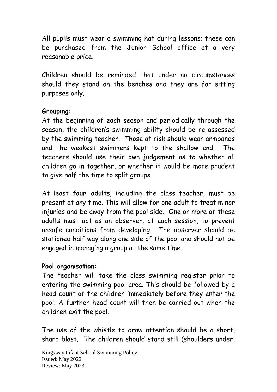All pupils must wear a swimming hat during lessons; these can be purchased from the Junior School office at a very reasonable price.

Children should be reminded that under no circumstances should they stand on the benches and they are for sitting purposes only.

#### **Grouping:**

At the beginning of each season and periodically through the season, the children's swimming ability should be re-assessed by the swimming teacher. Those at risk should wear armbands and the weakest swimmers kept to the shallow end. The teachers should use their own judgement as to whether all children go in together, or whether it would be more prudent to give half the time to split groups.

At least **four adults**, including the class teacher, must be present at any time. This will allow for one adult to treat minor injuries and be away from the pool side. One or more of these adults must act as an observer, at each session, to prevent unsafe conditions from developing. The observer should be stationed half way along one side of the pool and should not be engaged in managing a group at the same time.

#### **Pool organisation:**

The teacher will take the class swimming register prior to entering the swimming pool area. This should be followed by a head count of the children immediately before they enter the pool. A further head count will then be carried out when the children exit the pool.

The use of the whistle to draw attention should be a short, sharp blast. The children should stand still (shoulders under,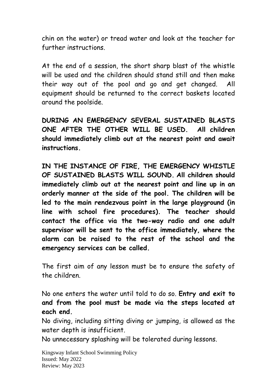chin on the water) or tread water and look at the teacher for further instructions.

At the end of a session, the short sharp blast of the whistle will be used and the children should stand still and then make their way out of the pool and go and get changed. All equipment should be returned to the correct baskets located around the poolside.

**DURING AN EMERGENCY SEVERAL SUSTAINED BLASTS ONE AFTER THE OTHER WILL BE USED. All children should immediately climb out at the nearest point and await instructions.**

**IN THE INSTANCE OF FIRE, THE EMERGENCY WHISTLE OF SUSTAINED BLASTS WILL SOUND. All children should immediately climb out at the nearest point and line up in an orderly manner at the side of the pool. The children will be led to the main rendezvous point in the large playground (in line with school fire procedures). The teacher should contact the office via the two-way radio and one adult supervisor will be sent to the office immediately, where the alarm can be raised to the rest of the school and the emergency services can be called.** 

The first aim of any lesson must be to ensure the safety of the children.

No one enters the water until told to do so. **Entry and exit to and from the pool must be made via the steps located at each end.**

No diving, including sitting diving or jumping, is allowed as the water depth is insufficient.

No unnecessary splashing will be tolerated during lessons.